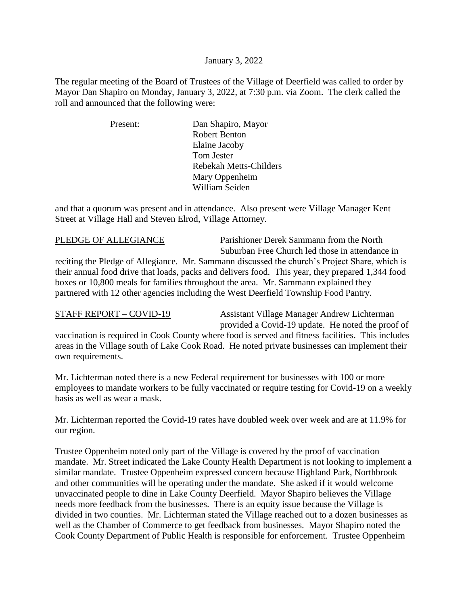## January 3, 2022

The regular meeting of the Board of Trustees of the Village of Deerfield was called to order by Mayor Dan Shapiro on Monday, January 3, 2022, at 7:30 p.m. via Zoom. The clerk called the roll and announced that the following were:

> Present: Dan Shapiro, Mayor Robert Benton Elaine Jacoby Tom Jester Rebekah Metts-Childers Mary Oppenheim William Seiden

and that a quorum was present and in attendance. Also present were Village Manager Kent Street at Village Hall and Steven Elrod, Village Attorney.

PLEDGE OF ALLEGIANCE Parishioner Derek Sammann from the North Suburban Free Church led those in attendance in

reciting the Pledge of Allegiance. Mr. Sammann discussed the church's Project Share, which is their annual food drive that loads, packs and delivers food. This year, they prepared 1,344 food boxes or 10,800 meals for families throughout the area. Mr. Sammann explained they partnered with 12 other agencies including the West Deerfield Township Food Pantry.

STAFF REPORT – COVID-19 Assistant Village Manager Andrew Lichterman provided a Covid-19 update. He noted the proof of

vaccination is required in Cook County where food is served and fitness facilities. This includes areas in the Village south of Lake Cook Road. He noted private businesses can implement their own requirements.

Mr. Lichterman noted there is a new Federal requirement for businesses with 100 or more employees to mandate workers to be fully vaccinated or require testing for Covid-19 on a weekly basis as well as wear a mask.

Mr. Lichterman reported the Covid-19 rates have doubled week over week and are at 11.9% for our region.

Trustee Oppenheim noted only part of the Village is covered by the proof of vaccination mandate. Mr. Street indicated the Lake County Health Department is not looking to implement a similar mandate. Trustee Oppenheim expressed concern because Highland Park, Northbrook and other communities will be operating under the mandate. She asked if it would welcome unvaccinated people to dine in Lake County Deerfield. Mayor Shapiro believes the Village needs more feedback from the businesses. There is an equity issue because the Village is divided in two counties. Mr. Lichterman stated the Village reached out to a dozen businesses as well as the Chamber of Commerce to get feedback from businesses. Mayor Shapiro noted the Cook County Department of Public Health is responsible for enforcement. Trustee Oppenheim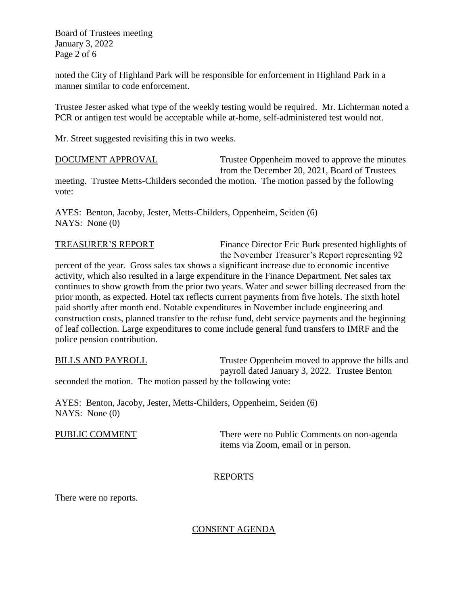Board of Trustees meeting January 3, 2022 Page 2 of 6

noted the City of Highland Park will be responsible for enforcement in Highland Park in a manner similar to code enforcement.

Trustee Jester asked what type of the weekly testing would be required. Mr. Lichterman noted a PCR or antigen test would be acceptable while at-home, self-administered test would not.

Mr. Street suggested revisiting this in two weeks.

DOCUMENT APPROVAL Trustee Oppenheim moved to approve the minutes from the December 20, 2021, Board of Trustees meeting. Trustee Metts-Childers seconded the motion. The motion passed by the following vote:

AYES: Benton, Jacoby, Jester, Metts-Childers, Oppenheim, Seiden (6) NAYS: None (0)

TREASURER'S REPORT Finance Director Eric Burk presented highlights of the November Treasurer's Report representing 92

percent of the year. Gross sales tax shows a significant increase due to economic incentive activity, which also resulted in a large expenditure in the Finance Department. Net sales tax continues to show growth from the prior two years. Water and sewer billing decreased from the prior month, as expected. Hotel tax reflects current payments from five hotels. The sixth hotel paid shortly after month end. Notable expenditures in November include engineering and construction costs, planned transfer to the refuse fund, debt service payments and the beginning of leaf collection. Large expenditures to come include general fund transfers to IMRF and the police pension contribution.

BILLS AND PAYROLL Trustee Oppenheim moved to approve the bills and payroll dated January 3, 2022. Trustee Benton seconded the motion. The motion passed by the following vote:

AYES: Benton, Jacoby, Jester, Metts-Childers, Oppenheim, Seiden (6) NAYS: None (0)

PUBLIC COMMENT There were no Public Comments on non-agenda items via Zoom, email or in person.

# REPORTS

There were no reports.

# CONSENT AGENDA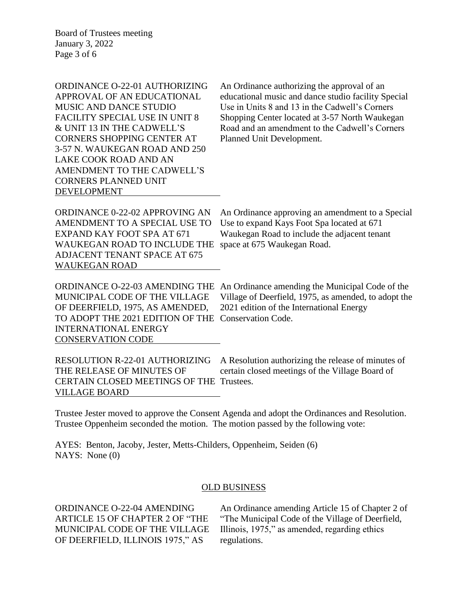Board of Trustees meeting January 3, 2022 Page 3 of 6

| ORDINANCE O-22-01 AUTHORIZING       | An Ordinance authorizing the approval of an                                                                                                                                                                                                                                                                                                           |
|-------------------------------------|-------------------------------------------------------------------------------------------------------------------------------------------------------------------------------------------------------------------------------------------------------------------------------------------------------------------------------------------------------|
| APPROVAL OF AN EDUCATIONAL          | educational music and dance studio facility Special                                                                                                                                                                                                                                                                                                   |
| <b>MUSIC AND DANCE STUDIO</b>       | Use in Units 8 and 13 in the Cadwell's Corners                                                                                                                                                                                                                                                                                                        |
| FACILITY SPECIAL USE IN UNIT 8      | Shopping Center located at 3-57 North Waukegan                                                                                                                                                                                                                                                                                                        |
| & UNIT 13 IN THE CADWELL'S          | Road and an amendment to the Cadwell's Corners                                                                                                                                                                                                                                                                                                        |
| <b>CORNERS SHOPPING CENTER AT</b>   | Planned Unit Development.                                                                                                                                                                                                                                                                                                                             |
| 3-57 N. WAUKEGAN ROAD AND 250       |                                                                                                                                                                                                                                                                                                                                                       |
| LAKE COOK ROAD AND AN               |                                                                                                                                                                                                                                                                                                                                                       |
| AMENDMENT TO THE CADWELL'S          |                                                                                                                                                                                                                                                                                                                                                       |
| <b>CORNERS PLANNED UNIT</b>         |                                                                                                                                                                                                                                                                                                                                                       |
| <b>DEVELOPMENT</b>                  |                                                                                                                                                                                                                                                                                                                                                       |
|                                     |                                                                                                                                                                                                                                                                                                                                                       |
| ORDINANCE 0-22-02 APPROVING AN      | An Ordinance approving an amendment to a Special                                                                                                                                                                                                                                                                                                      |
| AMENDMENT TO A SPECIAL USE TO       | Use to expand Kays Foot Spa located at 671                                                                                                                                                                                                                                                                                                            |
| EXPAND KAY FOOT SPA AT 671          | Waukegan Road to include the adjacent tenant                                                                                                                                                                                                                                                                                                          |
| WAUKEGAN ROAD TO INCLUDE THE        | space at 675 Waukegan Road.                                                                                                                                                                                                                                                                                                                           |
| <b>ADJACENT TENANT SPACE AT 675</b> |                                                                                                                                                                                                                                                                                                                                                       |
| <b>WAUKEGAN ROAD</b>                |                                                                                                                                                                                                                                                                                                                                                       |
|                                     |                                                                                                                                                                                                                                                                                                                                                       |
|                                     | $\overline{ODDMMAMCD}$ $\overline{O}$ $\overline{O}$ $\overline{O}$ $\overline{MDMMOMD}$ THE $\overline{M}$ $\overline{O}$ $\overline{M}$ and $\overline{M}$ and $\overline{M}$ $\overline{M}$ and $\overline{O}$ and $\overline{O}$ and $\overline{M}$ $\overline{M}$ and $\overline{O}$ and $\overline{M}$ and $\overline{M}$ and $\overline{M}$ an |

OF DEERFIELD, 1975, AS AMENDED, 2021 edition of the International Energy TO ADOPT THE 2021 EDITION OF THE Conservation Code. INTERNATIONAL ENERGY CONSERVATION CODE

ORDINANCE O-22-03 AMENDING THE An Ordinance amending the Municipal Code of the MUNICIPAL CODE OF THE VILLAGE Village of Deerfield, 1975, as amended, to adopt the

RESOLUTION R-22-01 AUTHORIZING A Resolution authorizing the release of minutes of THE RELEASE OF MINUTES OF certain closed meetings of the Village Board of CERTAIN CLOSED MEETINGS OF THE Trustees. VILLAGE BOARD

Trustee Jester moved to approve the Consent Agenda and adopt the Ordinances and Resolution. Trustee Oppenheim seconded the motion. The motion passed by the following vote:

AYES: Benton, Jacoby, Jester, Metts-Childers, Oppenheim, Seiden (6) NAYS: None (0)

## OLD BUSINESS

OF DEERFIELD, ILLINOIS 1975," AS regulations.

ORDINANCE O-22-04 AMENDING An Ordinance amending Article 15 of Chapter 2 of ARTICLE 15 OF CHAPTER 2 OF "THE "The Municipal Code of the Village of Deerfield, MUNICIPAL CODE OF THE VILLAGE Illinois, 1975," as amended, regarding ethics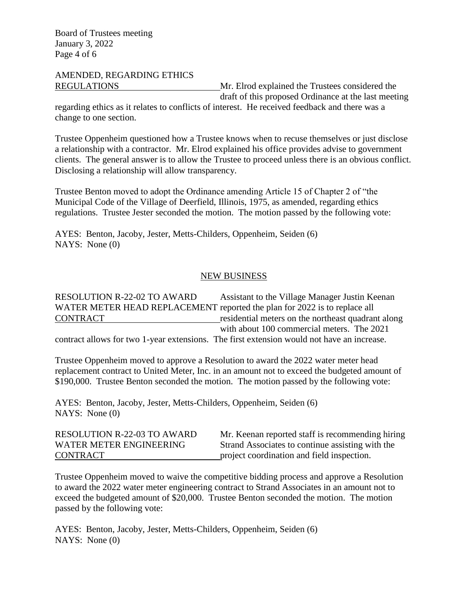# AMENDED, REGARDING ETHICS

REGULATIONS Mr. Elrod explained the Trustees considered the draft of this proposed Ordinance at the last meeting

regarding ethics as it relates to conflicts of interest. He received feedback and there was a change to one section.

Trustee Oppenheim questioned how a Trustee knows when to recuse themselves or just disclose a relationship with a contractor. Mr. Elrod explained his office provides advise to government clients. The general answer is to allow the Trustee to proceed unless there is an obvious conflict. Disclosing a relationship will allow transparency.

Trustee Benton moved to adopt the Ordinance amending Article 15 of Chapter 2 of "the Municipal Code of the Village of Deerfield, Illinois, 1975, as amended, regarding ethics regulations. Trustee Jester seconded the motion. The motion passed by the following vote:

AYES: Benton, Jacoby, Jester, Metts-Childers, Oppenheim, Seiden (6) NAYS: None (0)

# NEW BUSINESS

RESOLUTION R-22-02 TO AWARD Assistant to the Village Manager Justin Keenan WATER METER HEAD REPLACEMENT reported the plan for 2022 is to replace all CONTRACT residential meters on the northeast quadrant along with about 100 commercial meters. The 2021

contract allows for two 1-year extensions. The first extension would not have an increase.

Trustee Oppenheim moved to approve a Resolution to award the 2022 water meter head replacement contract to United Meter, Inc. in an amount not to exceed the budgeted amount of \$190,000. Trustee Benton seconded the motion. The motion passed by the following vote:

AYES: Benton, Jacoby, Jester, Metts-Childers, Oppenheim, Seiden (6) NAYS: None (0)

| <b>RESOLUTION R-22-03 TO AWARD</b> | Mr. Keenan reported staff is recommending hiring |
|------------------------------------|--------------------------------------------------|
| WATER METER ENGINEERING            | Strand Associates to continue assisting with the |
| CONTRACT                           | project coordination and field inspection.       |

Trustee Oppenheim moved to waive the competitive bidding process and approve a Resolution to award the 2022 water meter engineering contract to Strand Associates in an amount not to exceed the budgeted amount of \$20,000. Trustee Benton seconded the motion. The motion passed by the following vote:

AYES: Benton, Jacoby, Jester, Metts-Childers, Oppenheim, Seiden (6) NAYS: None (0)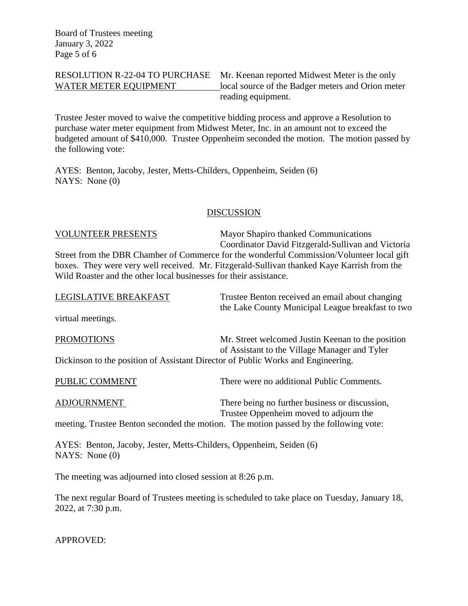RESOLUTION R-22-04 TO PURCHASE Mr. Keenan reported Midwest Meter is the only WATER METER EQUIPMENT local source of the Badger meters and Orion meter reading equipment.

Trustee Jester moved to waive the competitive bidding process and approve a Resolution to purchase water meter equipment from Midwest Meter, Inc. in an amount not to exceed the budgeted amount of \$410,000. Trustee Oppenheim seconded the motion. The motion passed by the following vote:

AYES: Benton, Jacoby, Jester, Metts-Childers, Oppenheim, Seiden (6) NAYS: None (0)

# **DISCUSSION**

VOLUNTEER PRESENTS Mayor Shapiro thanked Communications Coordinator David Fitzgerald-Sullivan and Victoria Street from the DBR Chamber of Commerce for the wonderful Commission/Volunteer local gift boxes. They were very well received. Mr. Fitzgerald-Sullivan thanked Kaye Karrish from the Wild Roaster and the other local businesses for their assistance.

| LEGISLATIVE BREAKFAST | Trustee Benton received an email about changing<br>the Lake County Municipal League breakfast to two |
|-----------------------|------------------------------------------------------------------------------------------------------|
| virtual meetings.     |                                                                                                      |
| <b>PROMOTIONS</b>     | Mr. Street welcomed Justin Keenan to the position                                                    |
|                       | of Assistant to the Village Manager and Tyler                                                        |

Dickinson to the position of Assistant Director of Public Works and Engineering.

| PUBLIC COMMENT | There were no additional Public Comments. |
|----------------|-------------------------------------------|
|                |                                           |

ADJOURNMENT There being no further business or discussion, Trustee Oppenheim moved to adjourn the meeting. Trustee Benton seconded the motion. The motion passed by the following vote:

AYES: Benton, Jacoby, Jester, Metts-Childers, Oppenheim, Seiden (6) NAYS: None (0)

The meeting was adjourned into closed session at 8:26 p.m.

The next regular Board of Trustees meeting is scheduled to take place on Tuesday, January 18, 2022, at 7:30 p.m.

APPROVED: